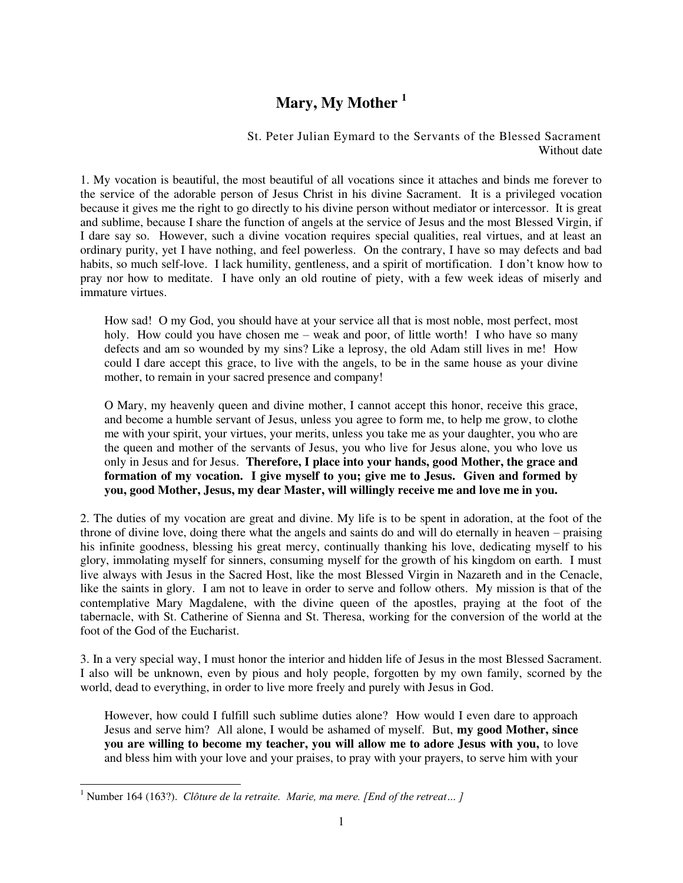## **Mary, My Mother <sup>1</sup>**

St. Peter Julian Eymard to the Servants of the Blessed Sacrament Without date

1. My vocation is beautiful, the most beautiful of all vocations since it attaches and binds me forever to the service of the adorable person of Jesus Christ in his divine Sacrament. It is a privileged vocation because it gives me the right to go directly to his divine person without mediator or intercessor. It is great and sublime, because I share the function of angels at the service of Jesus and the most Blessed Virgin, if I dare say so. However, such a divine vocation requires special qualities, real virtues, and at least an ordinary purity, yet I have nothing, and feel powerless. On the contrary, I have so may defects and bad habits, so much self-love. I lack humility, gentleness, and a spirit of mortification. I don't know how to pray nor how to meditate. I have only an old routine of piety, with a few week ideas of miserly and immature virtues.

How sad! O my God, you should have at your service all that is most noble, most perfect, most holy. How could you have chosen me – weak and poor, of little worth! I who have so many defects and am so wounded by my sins? Like a leprosy, the old Adam still lives in me! How could I dare accept this grace, to live with the angels, to be in the same house as your divine mother, to remain in your sacred presence and company!

O Mary, my heavenly queen and divine mother, I cannot accept this honor, receive this grace, and become a humble servant of Jesus, unless you agree to form me, to help me grow, to clothe me with your spirit, your virtues, your merits, unless you take me as your daughter, you who are the queen and mother of the servants of Jesus, you who live for Jesus alone, you who love us only in Jesus and for Jesus. **Therefore, I place into your hands, good Mother, the grace and formation of my vocation. I give myself to you; give me to Jesus. Given and formed by you, good Mother, Jesus, my dear Master, will willingly receive me and love me in you.** 

2. The duties of my vocation are great and divine. My life is to be spent in adoration, at the foot of the throne of divine love, doing there what the angels and saints do and will do eternally in heaven – praising his infinite goodness, blessing his great mercy, continually thanking his love, dedicating myself to his glory, immolating myself for sinners, consuming myself for the growth of his kingdom on earth. I must live always with Jesus in the Sacred Host, like the most Blessed Virgin in Nazareth and in the Cenacle, like the saints in glory. I am not to leave in order to serve and follow others. My mission is that of the contemplative Mary Magdalene, with the divine queen of the apostles, praying at the foot of the tabernacle, with St. Catherine of Sienna and St. Theresa, working for the conversion of the world at the foot of the God of the Eucharist.

3. In a very special way, I must honor the interior and hidden life of Jesus in the most Blessed Sacrament. I also will be unknown, even by pious and holy people, forgotten by my own family, scorned by the world, dead to everything, in order to live more freely and purely with Jesus in God.

However, how could I fulfill such sublime duties alone? How would I even dare to approach Jesus and serve him? All alone, I would be ashamed of myself. But, **my good Mother, since you are willing to become my teacher, you will allow me to adore Jesus with you,** to love and bless him with your love and your praises, to pray with your prayers, to serve him with your

 1 Number 164 (163?). *Clôture de la retraite. Marie, ma mere. [End of the retreat… ]*